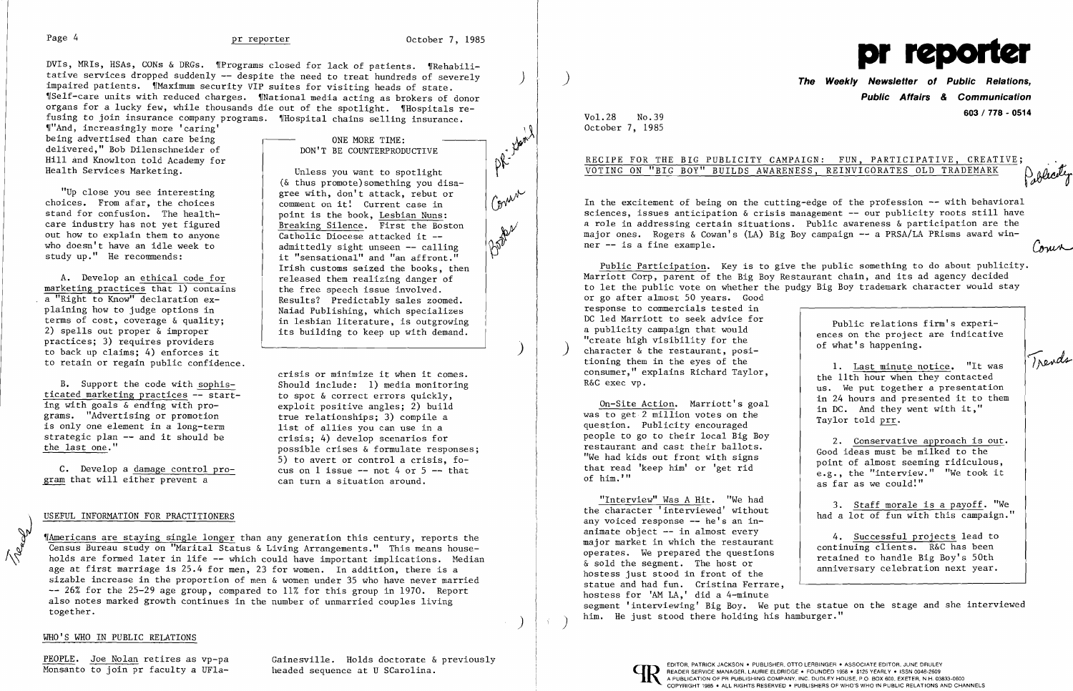DVIs, MRIs, HSAs, CONs & DRGs. 'Programs closed for lack of patients. 'Rehabilitative services dropped suddenly -- despite the need to treat hundreds of severely impaired patients. Maximum security VIP suites for visiting heads of state. ,rSelf-care units with reduced charges. 'fNational media acting as brokers of donor organs for a lucky few, while thousands die out of the spotlight. 'Hospitals refusing to join insurance company programs. 'fHospital chains selling insurance.

""And, increasingly more 'caring' being advertised than care being delivered," Bob Dilenschneider of Hill and Knowlton told Academy for Health Services Marketing.

> comment on it! Current case in point is the book, Lesbian Nuns:

"Up close you see interesting choices. From afar, the choices stand for confusion. The healthcare industry has not yet figured out how to explain them to anyone who doesn't have an idle week to study up." He recommends:

**The Weekly Newsletter of Public Relations, Public Affairs & Communication 603 I 778 - <sup>0514</sup>** Vol. 28 No. 39

RECIPE FOR THE BIG PUBLICITY CAMPAIGN: FUN, PARTICIPATIVE, CREATIVE;

on-Site Action. Marriott's goal in 24 hours and presented it to them in DC. And they went with it," was to get 2 million votes on the question. Publicity encouraged and  $\frac{1}{\sqrt{2}}$  and  $\frac{1}{\sqrt{2}}$  and  $\frac{1}{\sqrt{2}}$  and  $\$ 

No.39 October 7, 1985

# VOTING ON "BIG BOY" BUILDS AWARENESS, REINVIGORATES OLD TRADEMARK

ONE MORE TIME: DON'T BE COUNTERPRODUCTIVE

> In the excitement of being on the cutting-edge of the profession  $-$ - with behavioral sciences, issues anticipation  $\&$  crisis management  $--$  our publicity roots still have a role in addressing certain situations. Public awareness & participation are the major ones. Rogers & Cowan's (LA) Big Boy campaign -- a PRSA/LA PRisms award winner -- is a fine example.

Public Participation. Key is to give the public something to do about publicity. Marriott Corp, parent of the Big Boy Restaurant chain, and its ad agency decided to let the public vote on whether the pudgy Big Boy trademark character would stay or go after almost 50 years. Good response to commercials tested in DC led Marriott to seek advice for<br>a publicity campaign that would a public relations firm's experi ences on the project are indicative<br>"create high visibility for the of what's happening.<br>
tioning them in the eyes of the state of the state of what's happening. tioning them in the eyes of the 1. Last minute notice. "It was consumer," explains Richard Taylor, the 11th hour when they contacted R&C exec vp.

Unless you want to spotlight

Catholic Diocese attacked it -



the free speech issue involved.

people to go to their local Big Boy restaurant and cast their ballots.<br>
"We had kids out front with signs that read 'keep him' or 'get rid  $e.g.,$  the "interview." "We took it with  $e.g.,$  the "interview." "We took it

"Interview" Was A Hit. "We had 3. Staff morale is a payoff. "We the character 'interviewed' without had a lot of fun with this campaign." any voiced response -- he's an inanimate object -- in almost every<br>major market in which the restaurant animate object -- in almost every<br>major market in which the restaurant operates. We prepared the questions continuing clients. R&C has been operates. We prepared the questions retained to handle Big Boy's 50th  $\&$  sold the segment. The host or anniversary celebration next year. statue and had fun. Cristina Ferrare, hostess for 'AM LA,' did a 4-minute segment 'interviewing' Big Boy. We put the statue on the stage and she interviewed ) him. He just stood there holding his hamburger."

in lesbian literature, is outgrowing its building to keep up with demand.

)

 $\left( \right)$ 



Cour

2. Conservative approach is out.<br>Good ideas must be milked to the e.g., the "interview." "We took it as far as we could:"

A. Develop an ethical code for marketing practices that  $\overline{1}$ ) contains a "Right to Know" declaration explaining how to judge options in terms of cost, coverage & quality; 2) spells out proper & improper practices; 3) requires providers to back up claims; 4) enforces it to retain or regain public confidence.

B. Support the code with sophis-<br>
Should include: 1) media monitoring ticated marketing practices  $-$  start-<br>ing with goals & ending with pro-<br>exploit positive angles: 2) build grams. "Advertising or promotion true relationships; 3) compile a<br>is only one element in a long-term list of allies you can use in a is only one element in a long-term<br>strategic plan -- and it should be crisis: 4) develop scenarios for strategic plan  $-$  and it should be the last one."

C. Develop a <u>damage control pro-</u> cus on l issue -- not 4 or 5<br>am that will either prevent a can turn a situation around. gram that will either prevent a

M Mamericans are staying single longer than any generation this century, reports the<br>Census Bureau study on "Marital Status & Living Arrangements." This means house-<br>holds are formed later in life -- which could have impor Census Bureau study on "Marital Status & Living Arrangements." This means households are formed later in life -- which could have important implications. Median age at first marriage is 25.4 for men, 23 for women. In addition, there is a sizable increase in the proportion of men & women under 35 who have never married -- 26% for the 25-29 age group, compared to 11% for this group in 1970. Report also notes marked growth continues in the number of unmarried couples living together.

crisis or minimize it when it comes.

possible crises & formulate responses; 5) to avert or control a crisis, fo-<br>cus on l issue -- not 4 or 5 -- that

exploit positive angles; 2) build<br>true relationships; 3) compile a

### USEFUL INFORMATION FOR PRACTITIONERS

)

## WHO'S WHO IN PUBLIC RELATIONS

PEOPLE. Joe Nolan retires as vp-pa<br>Monsanto to join pr faculty a UFla-<br>headed sequence at U SCarolina.